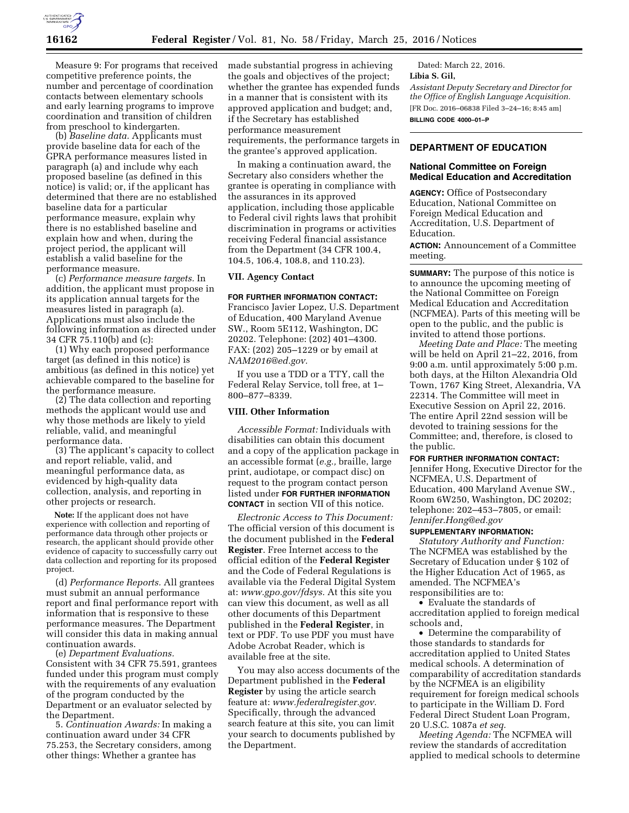

Measure 9: For programs that received competitive preference points, the number and percentage of coordination contacts between elementary schools and early learning programs to improve coordination and transition of children from preschool to kindergarten.

(b) *Baseline data.* Applicants must provide baseline data for each of the GPRA performance measures listed in paragraph (a) and include why each proposed baseline (as defined in this notice) is valid; or, if the applicant has determined that there are no established baseline data for a particular performance measure, explain why there is no established baseline and explain how and when, during the project period, the applicant will establish a valid baseline for the performance measure.

(c) *Performance measure targets.* In addition, the applicant must propose in its application annual targets for the measures listed in paragraph (a). Applications must also include the following information as directed under 34 CFR 75.110(b) and (c):

(1) Why each proposed performance target (as defined in this notice) is ambitious (as defined in this notice) yet achievable compared to the baseline for the performance measure.

(2) The data collection and reporting methods the applicant would use and why those methods are likely to yield reliable, valid, and meaningful performance data.

(3) The applicant's capacity to collect and report reliable, valid, and meaningful performance data, as evidenced by high-quality data collection, analysis, and reporting in other projects or research.

**Note:** If the applicant does not have experience with collection and reporting of performance data through other projects or research, the applicant should provide other evidence of capacity to successfully carry out data collection and reporting for its proposed project.

(d) *Performance Reports.* All grantees must submit an annual performance report and final performance report with information that is responsive to these performance measures. The Department will consider this data in making annual continuation awards.

(e) *Department Evaluations.*  Consistent with 34 CFR 75.591, grantees funded under this program must comply with the requirements of any evaluation of the program conducted by the Department or an evaluator selected by the Department.

5. *Continuation Awards:* In making a continuation award under 34 CFR 75.253, the Secretary considers, among other things: Whether a grantee has

made substantial progress in achieving the goals and objectives of the project; whether the grantee has expended funds in a manner that is consistent with its approved application and budget; and, if the Secretary has established performance measurement requirements, the performance targets in the grantee's approved application.

In making a continuation award, the Secretary also considers whether the grantee is operating in compliance with the assurances in its approved application, including those applicable to Federal civil rights laws that prohibit discrimination in programs or activities receiving Federal financial assistance from the Department (34 CFR 100.4, 104.5, 106.4, 108.8, and 110.23).

# **VII. Agency Contact**

#### **FOR FURTHER INFORMATION CONTACT:**

Francisco Javier Lopez, U.S. Department of Education, 400 Maryland Avenue SW., Room 5E112, Washington, DC 20202. Telephone: (202) 401–4300. FAX: (202) 205–1229 or by email at *[NAM2016@ed.gov.](mailto:NAM2016@ed.gov)* 

If you use a TDD or a TTY, call the Federal Relay Service, toll free, at 1– 800–877–8339.

## **VIII. Other Information**

*Accessible Format:* Individuals with disabilities can obtain this document and a copy of the application package in an accessible format (*e.g.,* braille, large print, audiotape, or compact disc) on request to the program contact person listed under **FOR FURTHER INFORMATION CONTACT** in section VII of this notice.

*Electronic Access to This Document:*  The official version of this document is the document published in the **Federal Register**. Free Internet access to the official edition of the **Federal Register**  and the Code of Federal Regulations is available via the Federal Digital System at: *[www.gpo.gov/fdsys.](http://www.gpo.gov/fdsys)* At this site you can view this document, as well as all other documents of this Department published in the **Federal Register**, in text or PDF. To use PDF you must have Adobe Acrobat Reader, which is available free at the site.

You may also access documents of the Department published in the **Federal Register** by using the article search feature at: *[www.federalregister.gov.](http://www.federalregister.gov)*  Specifically, through the advanced search feature at this site, you can limit your search to documents published by the Department.

Dated: March 22, 2016. **Libia S. Gil,**  *Assistant Deputy Secretary and Director for the Office of English Language Acquisition.*  [FR Doc. 2016–06838 Filed 3–24–16; 8:45 am] **BILLING CODE 4000–01–P** 

# **DEPARTMENT OF EDUCATION**

## **National Committee on Foreign Medical Education and Accreditation**

**AGENCY:** Office of Postsecondary Education, National Committee on Foreign Medical Education and Accreditation, U.S. Department of Education.

**ACTION:** Announcement of a Committee meeting.

**SUMMARY:** The purpose of this notice is to announce the upcoming meeting of the National Committee on Foreign Medical Education and Accreditation (NCFMEA). Parts of this meeting will be open to the public, and the public is invited to attend those portions.

*Meeting Date and Place:* The meeting will be held on April 21–22, 2016, from 9:00 a.m. until approximately 5:00 p.m. both days, at the Hilton Alexandria Old Town, 1767 King Street, Alexandria, VA 22314. The Committee will meet in Executive Session on April 22, 2016. The entire April 22nd session will be devoted to training sessions for the Committee; and, therefore, is closed to the public.

#### **FOR FURTHER INFORMATION CONTACT:**

Jennifer Hong, Executive Director for the NCFMEA, U.S. Department of Education, 400 Maryland Avenue SW., Room 6W250, Washington, DC 20202; telephone: 202–453–7805, or email: *[Jennifer.Hong@ed.gov](mailto:Jennifer.Hong@ed.gov)* 

### **SUPPLEMENTARY INFORMATION:**

*Statutory Authority and Function:*  The NCFMEA was established by the Secretary of Education under § 102 of the Higher Education Act of 1965, as amended. The NCFMEA's responsibilities are to:

• Evaluate the standards of accreditation applied to foreign medical schools and,

• Determine the comparability of those standards to standards for accreditation applied to United States medical schools. A determination of comparability of accreditation standards by the NCFMEA is an eligibility requirement for foreign medical schools to participate in the William D. Ford Federal Direct Student Loan Program, 20 U.S.C. 1087a *et seq.* 

*Meeting Agenda:* The NCFMEA will review the standards of accreditation applied to medical schools to determine